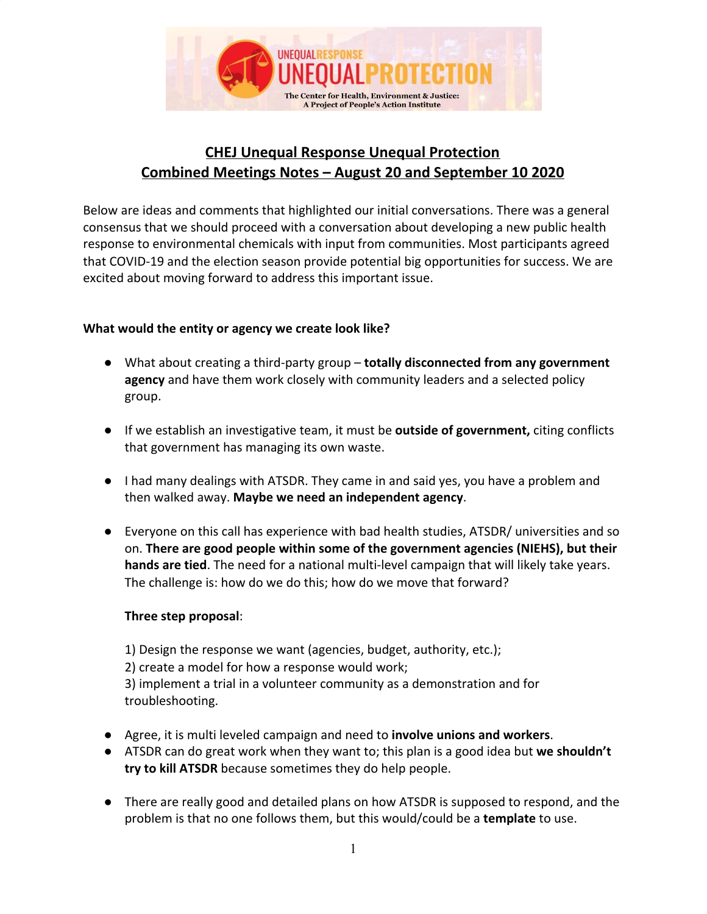

# **CHEJ Unequal Response Unequal Protection Combined Meetings Notes – August 20 and September 10 2020**

Below are ideas and comments that highlighted our initial conversations. There was a general consensus that we should proceed with a conversation about developing a new public health response to environmental chemicals with input from communities. Most participants agreed that COVID-19 and the election season provide potential big opportunities for success. We are excited about moving forward to address this important issue.

## **What would the entity or agency we create look like?**

- What about creating a third-party group **totally disconnected from any government agency** and have them work closely with community leaders and a selected policy group.
- If we establish an investigative team, it must be **outside of government,** citing conflicts that government has managing its own waste.
- I had many dealings with ATSDR. They came in and said yes, you have a problem and then walked away. **Maybe we need an independent agency**.
- Everyone on this call has experience with bad health studies, ATSDR/ universities and so on. **There are good people within some of the government agencies (NIEHS), but their hands are tied**. The need for a national multi-level campaign that will likely take years. The challenge is: how do we do this; how do we move that forward?

#### **Three step proposal**:

1) Design the response we want (agencies, budget, authority, etc.); 2) create a model for how a response would work; 3) implement a trial in a volunteer community as a demonstration and for troubleshooting.

- Agree, it is multi leveled campaign and need to **involve unions and workers**.
- ATSDR can do great work when they want to; this plan is a good idea but **we shouldn't try to kill ATSDR** because sometimes they do help people.
- There are really good and detailed plans on how ATSDR is supposed to respond, and the problem is that no one follows them, but this would/could be a **template** to use.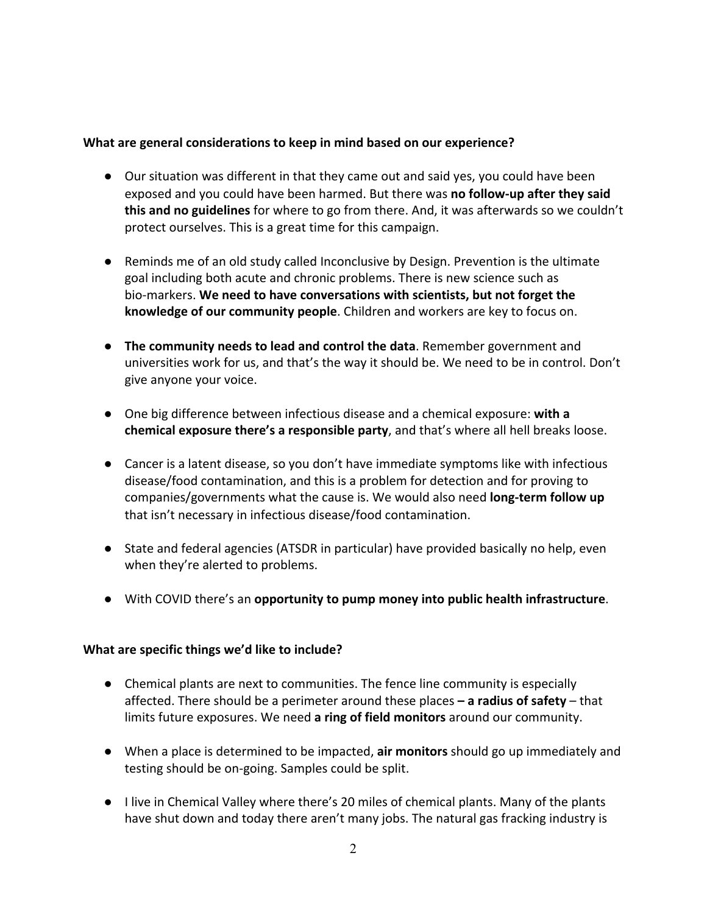### **What are general considerations to keep in mind based on our experience?**

- Our situation was different in that they came out and said yes, you could have been exposed and you could have been harmed. But there was **no follow-up after they said this and no guidelines** for where to go from there. And, it was afterwards so we couldn't protect ourselves. This is a great time for this campaign.
- Reminds me of an old study called Inconclusive by Design. Prevention is the ultimate goal including both acute and chronic problems. There is new science such as bio-markers. **We need to have conversations with scientists, but not forget the knowledge of our community people**. Children and workers are key to focus on.
- **The community needs to lead and control the data**. Remember government and universities work for us, and that's the way it should be. We need to be in control. Don't give anyone your voice.
- One big difference between infectious disease and a chemical exposure: **with a chemical exposure there's a responsible party**, and that's where all hell breaks loose.
- Cancer is a latent disease, so you don't have immediate symptoms like with infectious disease/food contamination, and this is a problem for detection and for proving to companies/governments what the cause is. We would also need **long-term follow up** that isn't necessary in infectious disease/food contamination.
- State and federal agencies (ATSDR in particular) have provided basically no help, even when they're alerted to problems.
- With COVID there's an **opportunity to pump money into public health infrastructure**.

#### **What are specific things we'd like to include?**

- Chemical plants are next to communities. The fence line community is especially affected. There should be a perimeter around these places **– a radius of safety** – that limits future exposures. We need **a ring of field monitors** around our community.
- When a place is determined to be impacted, **air monitors** should go up immediately and testing should be on-going. Samples could be split.
- I live in Chemical Valley where there's 20 miles of chemical plants. Many of the plants have shut down and today there aren't many jobs. The natural gas fracking industry is